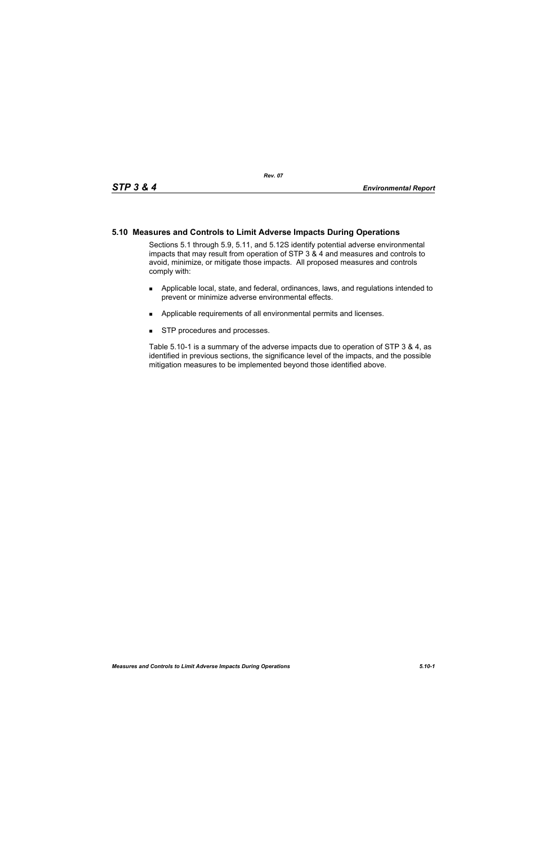## **5.10 Measures and Controls to Limit Adverse Impacts During Operations**

Sections 5.1 through 5.9, 5.11, and 5.12S identify potential adverse environmental impacts that may result from operation of STP 3 & 4 and measures and controls to avoid, minimize, or mitigate those impacts. All proposed measures and controls comply with:

- **Applicable local, state, and federal, ordinances, laws, and regulations intended to** prevent or minimize adverse environmental effects.
- **Applicable requirements of all environmental permits and licenses.**
- **STP** procedures and processes.

Table 5.10-1 is a summary of the adverse impacts due to operation of STP 3 & 4, as identified in previous sections, the significance level of the impacts, and the possible mitigation measures to be implemented beyond those identified above.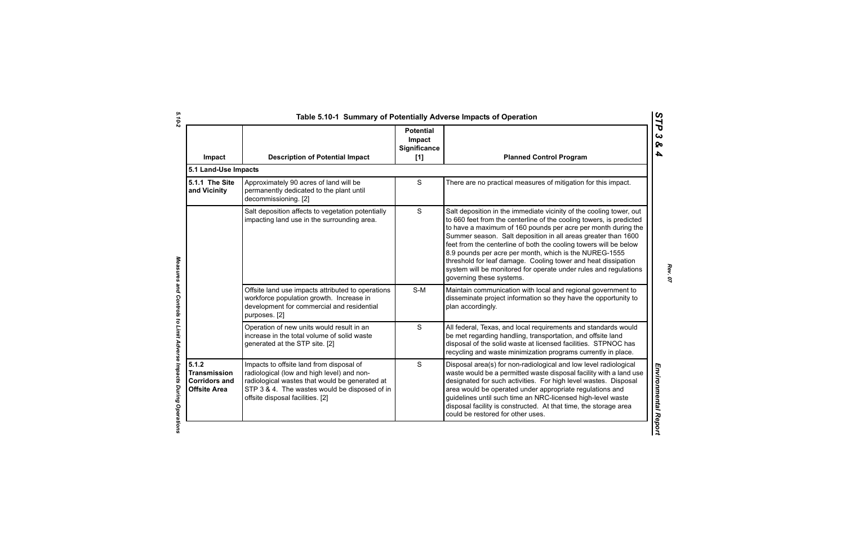| Impact                                                                      | <b>Description of Potential Impact</b>                                                                                                                                                                                        | <b>Potential</b><br>Impact<br>Significance<br>[1] | <b>Planned Control Program</b>                                                                                                                                                                                                                                                                                                                                                                                                                                                                                                                                               |
|-----------------------------------------------------------------------------|-------------------------------------------------------------------------------------------------------------------------------------------------------------------------------------------------------------------------------|---------------------------------------------------|------------------------------------------------------------------------------------------------------------------------------------------------------------------------------------------------------------------------------------------------------------------------------------------------------------------------------------------------------------------------------------------------------------------------------------------------------------------------------------------------------------------------------------------------------------------------------|
| 5.1 Land-Use Impacts                                                        |                                                                                                                                                                                                                               |                                                   |                                                                                                                                                                                                                                                                                                                                                                                                                                                                                                                                                                              |
| 5.1.1 The Site<br>and Vicinity                                              | Approximately 90 acres of land will be<br>permanently dedicated to the plant until<br>decommissioning. [2]                                                                                                                    | S                                                 | There are no practical measures of mitigation for this impact.                                                                                                                                                                                                                                                                                                                                                                                                                                                                                                               |
|                                                                             | Salt deposition affects to vegetation potentially<br>impacting land use in the surrounding area.                                                                                                                              | S                                                 | Salt deposition in the immediate vicinity of the cooling tower, out<br>to 660 feet from the centerline of the cooling towers, is predicted<br>to have a maximum of 160 pounds per acre per month during the<br>Summer season. Salt deposition in all areas greater than 1600<br>feet from the centerline of both the cooling towers will be below<br>8.9 pounds per acre per month, which is the NUREG-1555<br>threshold for leaf damage. Cooling tower and heat dissipation<br>system will be monitored for operate under rules and regulations<br>governing these systems. |
|                                                                             | Offsite land use impacts attributed to operations<br>workforce population growth. Increase in<br>development for commercial and residential<br>purposes. [2]                                                                  | S-M                                               | Maintain communication with local and regional government to<br>disseminate project information so they have the opportunity to<br>plan accordingly.                                                                                                                                                                                                                                                                                                                                                                                                                         |
|                                                                             | Operation of new units would result in an<br>increase in the total volume of solid waste<br>generated at the STP site. [2]                                                                                                    | $\mathbf S$                                       | All federal, Texas, and local requirements and standards would<br>be met regarding handling, transportation, and offsite land<br>disposal of the solid waste at licensed facilities. STPNOC has<br>recycling and waste minimization programs currently in place.                                                                                                                                                                                                                                                                                                             |
| 5.1.2<br><b>Transmission</b><br><b>Corridors and</b><br><b>Offsite Area</b> | Impacts to offsite land from disposal of<br>radiological (low and high level) and non-<br>radiological wastes that would be generated at<br>STP 3 & 4. The wastes would be disposed of in<br>offsite disposal facilities. [2] | S                                                 | Disposal area(s) for non-radiological and low level radiological<br>waste would be a permitted waste disposal facility with a land use<br>designated for such activities. For high level wastes. Disposal<br>area would be operated under appropriate regulations and<br>guidelines until such time an NRC-licensed high-level waste<br>disposal facility is constructed. At that time, the storage area<br>could be restored for other uses.                                                                                                                                |

Measures and Controls to Limit Adverse Impacts During Operations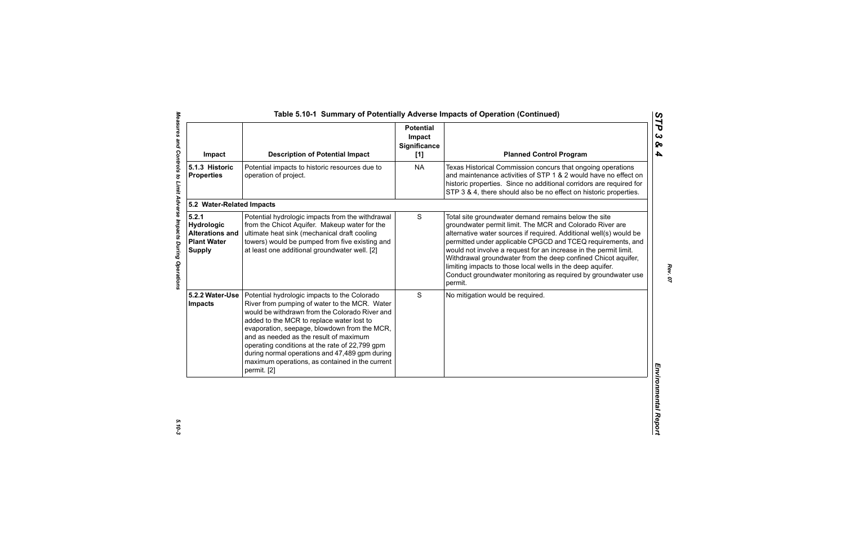| Impact                                                                               | <b>Description of Potential Impact</b>                                                                                                                                                                                                                                                                                                                                                                                                                       | <b>Potential</b><br>Impact<br><b>Significance</b><br>[1] | <b>Planned Control Program</b>                                                                                                                                                                                                                                                                                                                                                                                                                                                                                                       |
|--------------------------------------------------------------------------------------|--------------------------------------------------------------------------------------------------------------------------------------------------------------------------------------------------------------------------------------------------------------------------------------------------------------------------------------------------------------------------------------------------------------------------------------------------------------|----------------------------------------------------------|--------------------------------------------------------------------------------------------------------------------------------------------------------------------------------------------------------------------------------------------------------------------------------------------------------------------------------------------------------------------------------------------------------------------------------------------------------------------------------------------------------------------------------------|
| 5.1.3 Historic<br><b>Properties</b>                                                  | Potential impacts to historic resources due to<br>operation of project.                                                                                                                                                                                                                                                                                                                                                                                      | <b>NA</b>                                                | Texas Historical Commission concurs that ongoing operations<br>and maintenance activities of STP 1 & 2 would have no effect on<br>historic properties. Since no additional corridors are required for<br>STP 3 & 4, there should also be no effect on historic properties.                                                                                                                                                                                                                                                           |
| 5.2 Water-Related Impacts                                                            |                                                                                                                                                                                                                                                                                                                                                                                                                                                              |                                                          |                                                                                                                                                                                                                                                                                                                                                                                                                                                                                                                                      |
| 5.2.1<br>Hydrologic<br><b>Alterations and</b><br><b>Plant Water</b><br><b>Supply</b> | Potential hydrologic impacts from the withdrawal<br>from the Chicot Aquifer. Makeup water for the<br>ultimate heat sink (mechanical draft cooling<br>towers) would be pumped from five existing and<br>at least one additional groundwater well. [2]                                                                                                                                                                                                         | $\mathsf S$                                              | Total site groundwater demand remains below the site<br>groundwater permit limit. The MCR and Colorado River are<br>alternative water sources if required. Additional well(s) would be<br>permitted under applicable CPGCD and TCEQ requirements, and<br>would not involve a request for an increase in the permit limit.<br>Withdrawal groundwater from the deep confined Chicot aquifer,<br>limiting impacts to those local wells in the deep aquifer.<br>Conduct groundwater monitoring as required by groundwater use<br>permit. |
| 5.2.2 Water-Use<br>Impacts                                                           | Potential hydrologic impacts to the Colorado<br>River from pumping of water to the MCR. Water<br>would be withdrawn from the Colorado River and<br>added to the MCR to replace water lost to<br>evaporation, seepage, blowdown from the MCR,<br>and as needed as the result of maximum<br>operating conditions at the rate of 22,799 gpm<br>during normal operations and 47,489 gpm during<br>maximum operations, as contained in the current<br>permit. [2] | S                                                        | No mitigation would be required.                                                                                                                                                                                                                                                                                                                                                                                                                                                                                                     |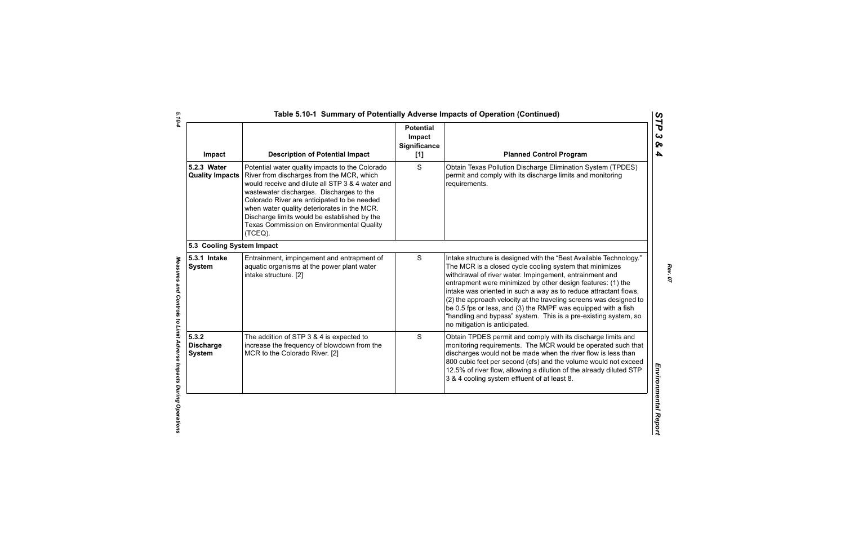| Impact                                     | <b>Description of Potential Impact</b>                                                                                                                                                                                                                                                                                                                                                             | <b>Potential</b><br>Impact<br>Significance<br>$[1]$ | <b>Planned Control Program</b>                                                                                                                                                                                                                                                                                                                                                                                                                                                                                                                                         |
|--------------------------------------------|----------------------------------------------------------------------------------------------------------------------------------------------------------------------------------------------------------------------------------------------------------------------------------------------------------------------------------------------------------------------------------------------------|-----------------------------------------------------|------------------------------------------------------------------------------------------------------------------------------------------------------------------------------------------------------------------------------------------------------------------------------------------------------------------------------------------------------------------------------------------------------------------------------------------------------------------------------------------------------------------------------------------------------------------------|
| 5.2.3 Water<br><b>Quality Impacts</b>      | Potential water quality impacts to the Colorado<br>River from discharges from the MCR, which<br>would receive and dilute all STP 3 & 4 water and<br>wastewater discharges. Discharges to the<br>Colorado River are anticipated to be needed<br>when water quality deteriorates in the MCR.<br>Discharge limits would be established by the<br>Texas Commission on Environmental Quality<br>(TCEQ). | S                                                   | Obtain Texas Pollution Discharge Elimination System (TPDES)<br>permit and comply with its discharge limits and monitoring<br>requirements.                                                                                                                                                                                                                                                                                                                                                                                                                             |
| 5.3 Cooling System Impact                  |                                                                                                                                                                                                                                                                                                                                                                                                    |                                                     |                                                                                                                                                                                                                                                                                                                                                                                                                                                                                                                                                                        |
| 5.3.1 Intake<br><b>System</b>              | Entrainment, impingement and entrapment of<br>aquatic organisms at the power plant water<br>intake structure. [2]                                                                                                                                                                                                                                                                                  | S                                                   | Intake structure is designed with the "Best Available Technology."<br>The MCR is a closed cycle cooling system that minimizes<br>withdrawal of river water. Impingement, entrainment and<br>entrapment were minimized by other design features: (1) the<br>intake was oriented in such a way as to reduce attractant flows,<br>(2) the approach velocity at the traveling screens was designed to<br>be 0.5 fps or less, and (3) the RMPF was equipped with a fish<br>"handling and bypass" system. This is a pre-existing system, so<br>no mitigation is anticipated. |
| 5.3.2<br><b>Discharge</b><br><b>System</b> | The addition of STP 3 & 4 is expected to<br>increase the frequency of blowdown from the<br>MCR to the Colorado River. [2]                                                                                                                                                                                                                                                                          | S                                                   | Obtain TPDES permit and comply with its discharge limits and<br>monitoring requirements. The MCR would be operated such that<br>discharges would not be made when the river flow is less than<br>800 cubic feet per second (cfs) and the volume would not exceed<br>12.5% of river flow, allowing a dilution of the already diluted STP<br>3 & 4 cooling system effluent of at least 8.                                                                                                                                                                                |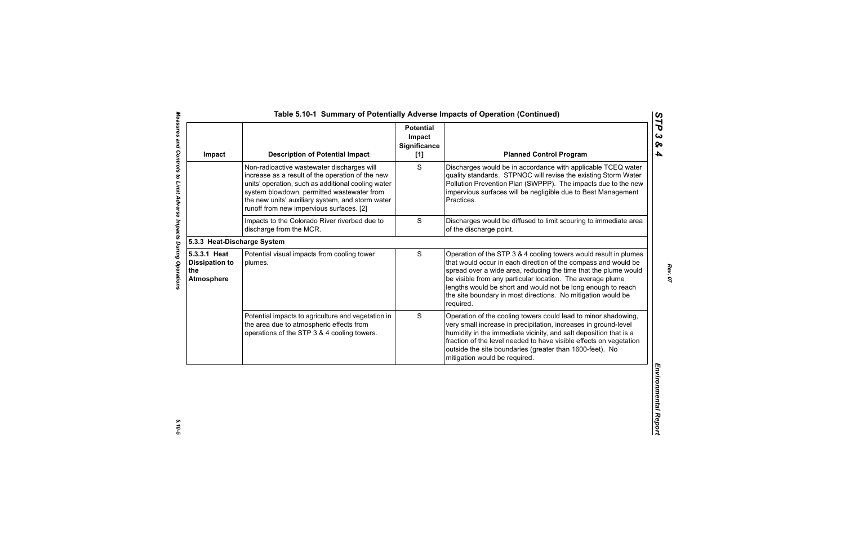| Impact                                                            | <b>Description of Potential Impact</b>                                                                                                                                                                                                                                                             | <b>Potential</b><br>Impact<br>Significance<br>$[1]$ | <b>Planned Control Program</b>                                                                                                                                                                                                                                                                                                                                                                                   |
|-------------------------------------------------------------------|----------------------------------------------------------------------------------------------------------------------------------------------------------------------------------------------------------------------------------------------------------------------------------------------------|-----------------------------------------------------|------------------------------------------------------------------------------------------------------------------------------------------------------------------------------------------------------------------------------------------------------------------------------------------------------------------------------------------------------------------------------------------------------------------|
|                                                                   | Non-radioactive wastewater discharges will<br>increase as a result of the operation of the new<br>units' operation, such as additional cooling water<br>system blowdown, permitted wastewater from<br>the new units' auxiliary system, and storm water<br>runoff from new impervious surfaces. [2] | S                                                   | Discharges would be in accordance with applicable TCEQ water<br>quality standards. STPNOC will revise the existing Storm Water<br>Pollution Prevention Plan (SWPPP). The impacts due to the new<br>impervious surfaces will be negligible due to Best Management<br>Practices.                                                                                                                                   |
|                                                                   | Impacts to the Colorado River riverbed due to<br>discharge from the MCR.                                                                                                                                                                                                                           | S                                                   | Discharges would be diffused to limit scouring to immediate area<br>of the discharge point.                                                                                                                                                                                                                                                                                                                      |
| 5.3.3 Heat-Discharge System                                       |                                                                                                                                                                                                                                                                                                    |                                                     |                                                                                                                                                                                                                                                                                                                                                                                                                  |
| 5.3.3.1 Heat<br><b>Dissipation to</b><br>the<br><b>Atmosphere</b> | Potential visual impacts from cooling tower<br>plumes.                                                                                                                                                                                                                                             | $\mathsf S$                                         | Operation of the STP 3 & 4 cooling towers would result in plumes<br>that would occur in each direction of the compass and would be<br>spread over a wide area, reducing the time that the plume would<br>be visible from any particular location. The average plume<br>lengths would be short and would not be long enough to reach<br>the site boundary in most directions. No mitigation would be<br>required. |
|                                                                   | Potential impacts to agriculture and vegetation in<br>the area due to atmospheric effects from<br>operations of the STP 3 & 4 cooling towers.                                                                                                                                                      | S                                                   | Operation of the cooling towers could lead to minor shadowing,<br>very small increase in precipitation, increases in ground-level<br>humidity in the immediate vicinity, and salt deposition that is a<br>fraction of the level needed to have visible effects on vegetation<br>outside the site boundaries (greater than 1600-feet). No<br>mitigation would be required.                                        |

 $5.10 - 5$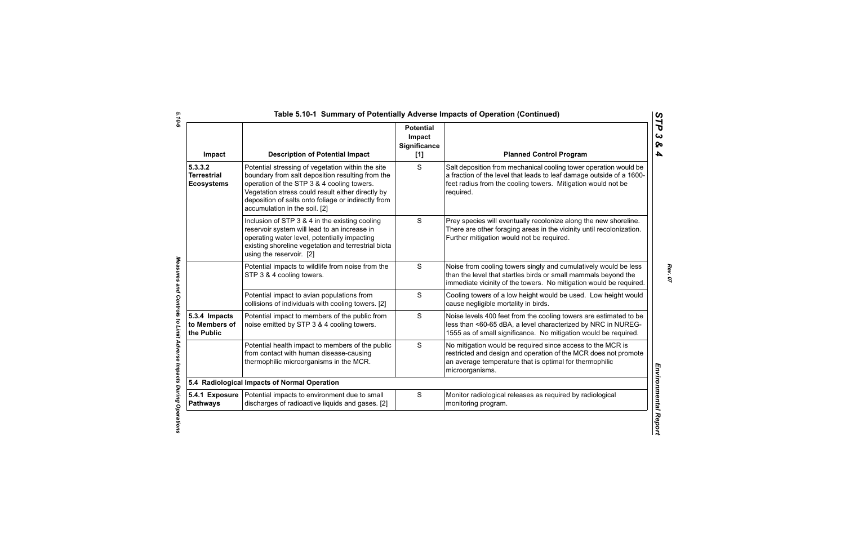| Impact                                             | <b>Description of Potential Impact</b>                                                                                                                                                                                                                                                           | <b>Potential</b><br>Impact<br><b>Significance</b><br>[1] | <b>Planned Control Program</b>                                                                                                                                                                                        |
|----------------------------------------------------|--------------------------------------------------------------------------------------------------------------------------------------------------------------------------------------------------------------------------------------------------------------------------------------------------|----------------------------------------------------------|-----------------------------------------------------------------------------------------------------------------------------------------------------------------------------------------------------------------------|
| 5.3.3.2<br><b>Terrestrial</b><br><b>Ecosystems</b> | Potential stressing of vegetation within the site<br>boundary from salt deposition resulting from the<br>operation of the STP 3 & 4 cooling towers.<br>Vegetation stress could result either directly by<br>deposition of salts onto foliage or indirectly from<br>accumulation in the soil. [2] | S                                                        | Salt deposition from mechanical cooling tower operation would be<br>a fraction of the level that leads to leaf damage outside of a 1600-<br>feet radius from the cooling towers. Mitigation would not be<br>required. |
|                                                    | Inclusion of STP 3 & 4 in the existing cooling<br>reservoir system will lead to an increase in<br>operating water level, potentially impacting<br>existing shoreline vegetation and terrestrial biota<br>using the reservoir. [2]                                                                | S                                                        | Prey species will eventually recolonize along the new shoreline.<br>There are other foraging areas in the vicinity until recolonization.<br>Further mitigation would not be required.                                 |
|                                                    | Potential impacts to wildlife from noise from the<br>STP 3 & 4 cooling towers.                                                                                                                                                                                                                   | S                                                        | Noise from cooling towers singly and cumulatively would be less<br>than the level that startles birds or small mammals beyond the<br>immediate vicinity of the towers. No mitigation would be required.               |
|                                                    | Potential impact to avian populations from<br>collisions of individuals with cooling towers. [2]                                                                                                                                                                                                 | S                                                        | Cooling towers of a low height would be used. Low height would<br>cause negligible mortality in birds.                                                                                                                |
| 5.3.4 Impacts<br>to Members of<br>the Public       | Potential impact to members of the public from<br>noise emitted by STP 3 & 4 cooling towers.                                                                                                                                                                                                     | S                                                        | Noise levels 400 feet from the cooling towers are estimated to be<br>less than <60-65 dBA, a level characterized by NRC in NUREG-<br>1555 as of small significance. No mitigation would be required.                  |
|                                                    | Potential health impact to members of the public<br>from contact with human disease-causing<br>thermophilic microorganisms in the MCR.                                                                                                                                                           | S                                                        | No mitigation would be required since access to the MCR is<br>restricted and design and operation of the MCR does not promote<br>an average temperature that is optimal for thermophilic<br>microorganisms.           |
|                                                    | 5.4 Radiological Impacts of Normal Operation                                                                                                                                                                                                                                                     |                                                          |                                                                                                                                                                                                                       |
| <b>Pathways</b>                                    | 5.4.1 Exposure   Potential impacts to environment due to small<br>discharges of radioactive liquids and gases. [2]                                                                                                                                                                               | S                                                        | Monitor radiological releases as required by radiological<br>monitoring program.                                                                                                                                      |

Measures and Controls to Limit Adverse Impacts During Operations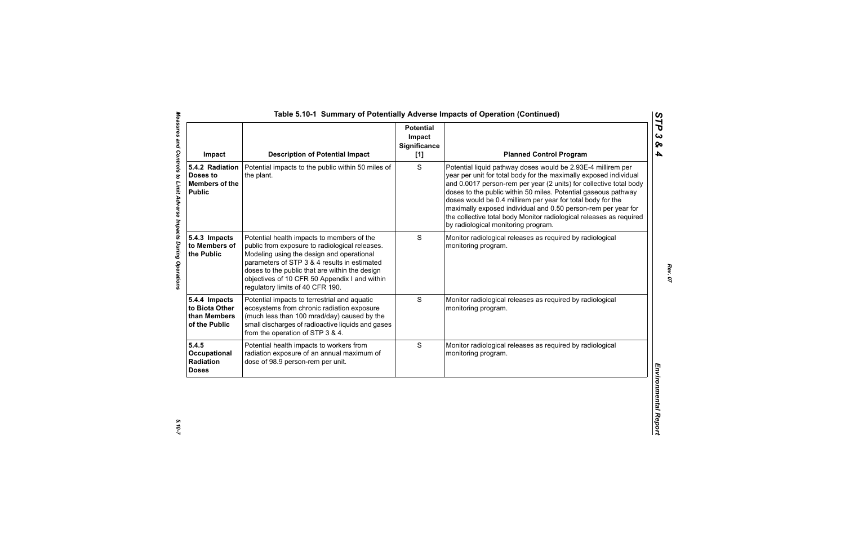| Impact                                                                | <b>Description of Potential Impact</b>                                                                                                                                                                                                                                                                                           | <b>Potential</b><br>Impact<br>Significance<br>[1] | <b>Planned Control Program</b>                                                                                                                                                                                                                                                                                                                                                                                                                                                                                          |
|-----------------------------------------------------------------------|----------------------------------------------------------------------------------------------------------------------------------------------------------------------------------------------------------------------------------------------------------------------------------------------------------------------------------|---------------------------------------------------|-------------------------------------------------------------------------------------------------------------------------------------------------------------------------------------------------------------------------------------------------------------------------------------------------------------------------------------------------------------------------------------------------------------------------------------------------------------------------------------------------------------------------|
| 5.4.2 Radiation<br>Doses to<br><b>Members of the</b><br><b>Public</b> | Potential impacts to the public within 50 miles of<br>the plant.                                                                                                                                                                                                                                                                 | S                                                 | Potential liquid pathway doses would be 2.93E-4 millirem per<br>year per unit for total body for the maximally exposed individual<br>and 0.0017 person-rem per year (2 units) for collective total body<br>doses to the public within 50 miles. Potential gaseous pathway<br>doses would be 0.4 millirem per year for total body for the<br>maximally exposed individual and 0.50 person-rem per year for<br>the collective total body Monitor radiological releases as required<br>by radiological monitoring program. |
| 5.4.3 Impacts<br>to Members of<br>the Public                          | Potential health impacts to members of the<br>public from exposure to radiological releases.<br>Modeling using the design and operational<br>parameters of STP 3 & 4 results in estimated<br>doses to the public that are within the design<br>objectives of 10 CFR 50 Appendix I and within<br>regulatory limits of 40 CFR 190. | S                                                 | Monitor radiological releases as required by radiological<br>monitoring program.                                                                                                                                                                                                                                                                                                                                                                                                                                        |
| 5.4.4 Impacts<br>to Biota Other<br>than Members<br>of the Public      | Potential impacts to terrestrial and aquatic<br>ecosystems from chronic radiation exposure<br>(much less than 100 mrad/day) caused by the<br>small discharges of radioactive liquids and gases<br>from the operation of STP 3 & 4.                                                                                               | S                                                 | Monitor radiological releases as required by radiological<br>monitoring program.                                                                                                                                                                                                                                                                                                                                                                                                                                        |
| 5.4.5<br>Occupational<br>Radiation<br><b>Doses</b>                    | Potential health impacts to workers from<br>radiation exposure of an annual maximum of<br>dose of 98.9 person-rem per unit.                                                                                                                                                                                                      | S                                                 | Monitor radiological releases as required by radiological<br>monitoring program.                                                                                                                                                                                                                                                                                                                                                                                                                                        |

*STP 3 & 4*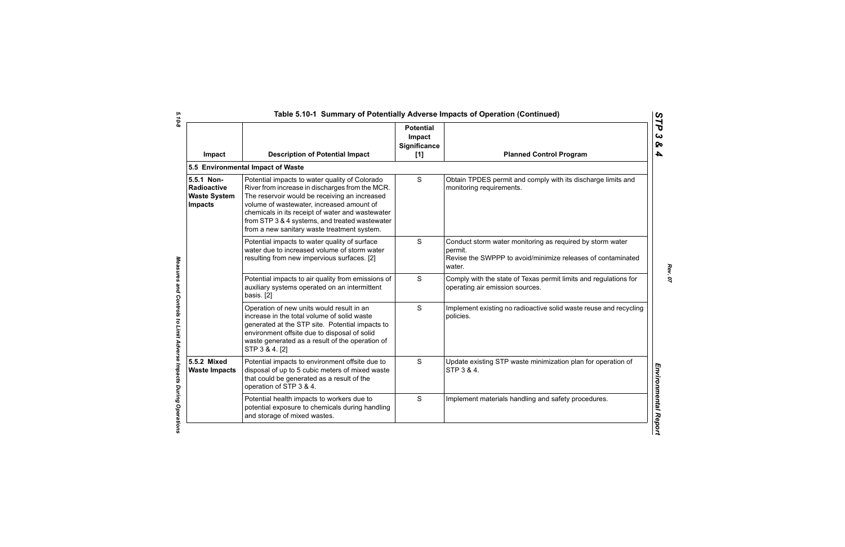| Impact                                                                    | <b>Description of Potential Impact</b>                                                                                                                                                                                                                                                                                                               | <b>Potential</b><br>Impact<br>Significance<br>[1] | <b>Planned Control Program</b>                                                                                                                |
|---------------------------------------------------------------------------|------------------------------------------------------------------------------------------------------------------------------------------------------------------------------------------------------------------------------------------------------------------------------------------------------------------------------------------------------|---------------------------------------------------|-----------------------------------------------------------------------------------------------------------------------------------------------|
|                                                                           | 5.5 Environmental Impact of Waste                                                                                                                                                                                                                                                                                                                    |                                                   |                                                                                                                                               |
| 5.5.1 Non-<br><b>Radioactive</b><br><b>Waste System</b><br><b>Impacts</b> | Potential impacts to water quality of Colorado<br>River from increase in discharges from the MCR.<br>The reservoir would be receiving an increased<br>volume of wastewater, increased amount of<br>chemicals in its receipt of water and wastewater<br>from STP 3 & 4 systems, and treated wastewater<br>from a new sanitary waste treatment system. | S                                                 | Obtain TPDES permit and comply with its discharge limits and<br>monitoring requirements.                                                      |
|                                                                           | Potential impacts to water quality of surface<br>water due to increased volume of storm water<br>resulting from new impervious surfaces. [2]                                                                                                                                                                                                         | S                                                 | Conduct storm water monitoring as required by storm water<br>permit.<br>Revise the SWPPP to avoid/minimize releases of contaminated<br>water. |
|                                                                           | Potential impacts to air quality from emissions of<br>auxiliary systems operated on an intermittent<br>basis. [2]                                                                                                                                                                                                                                    | S                                                 | Comply with the state of Texas permit limits and regulations for<br>operating air emission sources.                                           |
|                                                                           | Operation of new units would result in an<br>increase in the total volume of solid waste<br>generated at the STP site. Potential impacts to<br>environment offsite due to disposal of solid<br>waste generated as a result of the operation of<br>STP 3 & 4. [2]                                                                                     | S                                                 | Implement existing no radioactive solid waste reuse and recycling<br>policies.                                                                |
| 5.5.2 Mixed<br><b>Waste Impacts</b>                                       | Potential impacts to environment offsite due to<br>disposal of up to 5 cubic meters of mixed waste<br>that could be generated as a result of the<br>operation of STP 3 & 4.                                                                                                                                                                          | S                                                 | Update existing STP waste minimization plan for operation of<br>STP 3 & 4.                                                                    |
|                                                                           | Potential health impacts to workers due to<br>potential exposure to chemicals during handling<br>and storage of mixed wastes.                                                                                                                                                                                                                        | S                                                 | Implement materials handling and safety procedures.                                                                                           |

 $5.10 - 8$ *5.10-8 Measures and Controls to Limit Adverse Impacts During Operations* 

Measures and Controls to Limit Adverse Impacts During Operations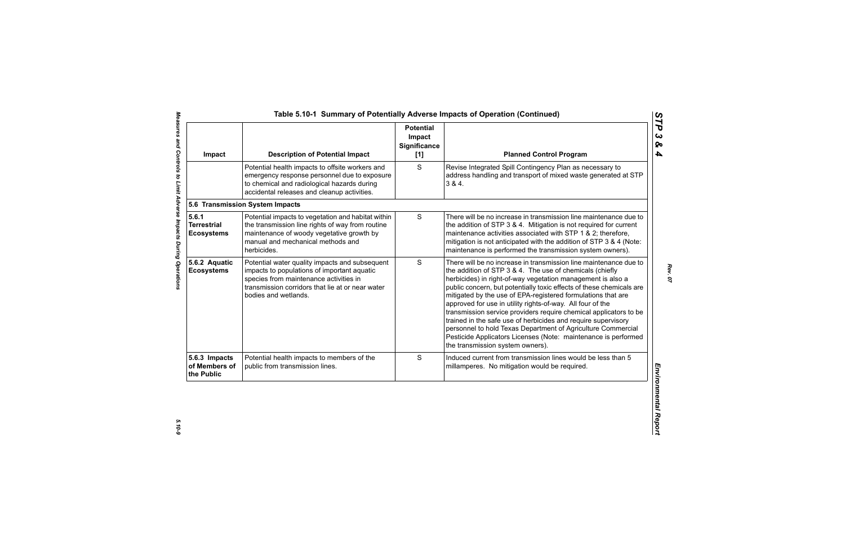| Impact                                           | <b>Description of Potential Impact</b>                                                                                                                                                                              | <b>Potential</b><br>Impact<br><b>Significance</b><br>[1] | <b>Planned Control Program</b>                                                                                                                                                                                                                                                                                                                                                                                                                                                                                                                                                                                                                                                                                 |
|--------------------------------------------------|---------------------------------------------------------------------------------------------------------------------------------------------------------------------------------------------------------------------|----------------------------------------------------------|----------------------------------------------------------------------------------------------------------------------------------------------------------------------------------------------------------------------------------------------------------------------------------------------------------------------------------------------------------------------------------------------------------------------------------------------------------------------------------------------------------------------------------------------------------------------------------------------------------------------------------------------------------------------------------------------------------------|
|                                                  | Potential health impacts to offsite workers and<br>emergency response personnel due to exposure<br>to chemical and radiological hazards during<br>accidental releases and cleanup activities.                       | S                                                        | Revise Integrated Spill Contingency Plan as necessary to<br>address handling and transport of mixed waste generated at STP<br>384.                                                                                                                                                                                                                                                                                                                                                                                                                                                                                                                                                                             |
|                                                  | 5.6 Transmission System Impacts                                                                                                                                                                                     |                                                          |                                                                                                                                                                                                                                                                                                                                                                                                                                                                                                                                                                                                                                                                                                                |
| 5.6.1<br><b>Terrestrial</b><br><b>Ecosystems</b> | Potential impacts to vegetation and habitat within<br>the transmission line rights of way from routine<br>maintenance of woody vegetative growth by<br>manual and mechanical methods and<br>herbicides.             | $\mathsf S$                                              | There will be no increase in transmission line maintenance due to<br>the addition of STP 3 & 4. Mitigation is not required for current<br>maintenance activities associated with STP 1 & 2; therefore,<br>mitigation is not anticipated with the addition of STP 3 & 4 (Note:<br>maintenance is performed the transmission system owners).                                                                                                                                                                                                                                                                                                                                                                     |
| 5.6.2 Aquatic<br><b>Ecosystems</b>               | Potential water quality impacts and subsequent<br>impacts to populations of important aquatic<br>species from maintenance activities in<br>transmission corridors that lie at or near water<br>bodies and wetlands. | S                                                        | There will be no increase in transmission line maintenance due to<br>the addition of STP 3 & 4. The use of chemicals (chiefly<br>herbicides) in right-of-way vegetation management is also a<br>public concern, but potentially toxic effects of these chemicals are<br>mitigated by the use of EPA-registered formulations that are<br>approved for use in utility rights-of-way. All four of the<br>transmission service providers require chemical applicators to be<br>trained in the safe use of herbicides and require supervisory<br>personnel to hold Texas Department of Agriculture Commercial<br>Pesticide Applicators Licenses (Note: maintenance is performed<br>the transmission system owners). |
| 5.6.3 Impacts<br>of Members of<br>the Public     | Potential health impacts to members of the<br>public from transmission lines.                                                                                                                                       | S                                                        | Induced current from transmission lines would be less than 5<br>millamperes. No mitigation would be required.                                                                                                                                                                                                                                                                                                                                                                                                                                                                                                                                                                                                  |

 $5.10 - 9$ 

*STP 3 & 4*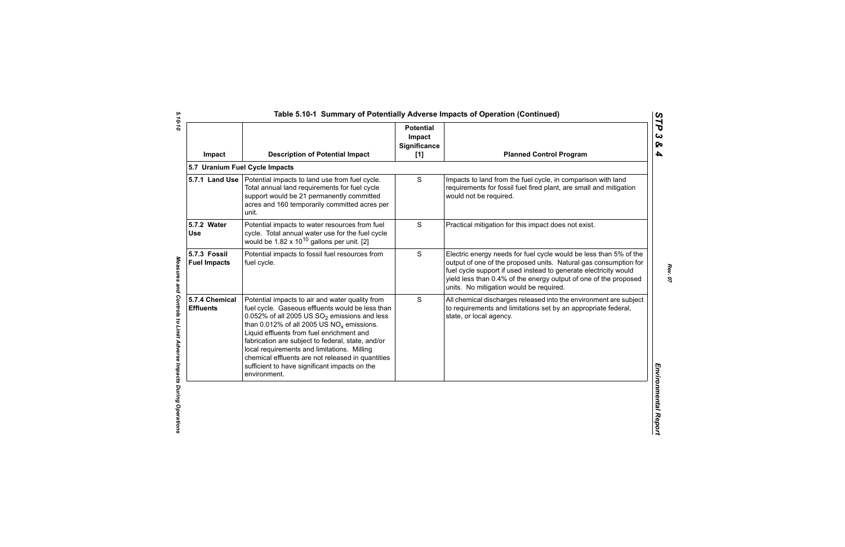| Impact                              | <b>Description of Potential Impact</b>                                                                                                                                                                                                                                                                                                                                                                                                                                        | <b>Potential</b><br>Impact<br><b>Significance</b><br>[1] | <b>Planned Control Program</b>                                                                                                                                                                                                                                                                                           |
|-------------------------------------|-------------------------------------------------------------------------------------------------------------------------------------------------------------------------------------------------------------------------------------------------------------------------------------------------------------------------------------------------------------------------------------------------------------------------------------------------------------------------------|----------------------------------------------------------|--------------------------------------------------------------------------------------------------------------------------------------------------------------------------------------------------------------------------------------------------------------------------------------------------------------------------|
|                                     | 5.7 Uranium Fuel Cycle Impacts                                                                                                                                                                                                                                                                                                                                                                                                                                                |                                                          |                                                                                                                                                                                                                                                                                                                          |
|                                     | 5.7.1 Land Use   Potential impacts to land use from fuel cycle.<br>Total annual land requirements for fuel cycle<br>support would be 21 permanently committed<br>acres and 160 temporarily committed acres per<br>unit.                                                                                                                                                                                                                                                       | S                                                        | Impacts to land from the fuel cycle, in comparison with land<br>requirements for fossil fuel fired plant, are small and mitigation<br>would not be required.                                                                                                                                                             |
| 5.7.2 Water<br><b>Use</b>           | Potential impacts to water resources from fuel<br>cycle. Total annual water use for the fuel cycle<br>would be $1.82 \times 10^{10}$ gallons per unit. [2]                                                                                                                                                                                                                                                                                                                    | S                                                        | Practical mitigation for this impact does not exist.                                                                                                                                                                                                                                                                     |
| 5.7.3 Fossil<br><b>Fuel Impacts</b> | Potential impacts to fossil fuel resources from<br>fuel cycle.                                                                                                                                                                                                                                                                                                                                                                                                                | S                                                        | Electric energy needs for fuel cycle would be less than 5% of the<br>output of one of the proposed units. Natural gas consumption for<br>fuel cycle support if used instead to generate electricity would<br>yield less than 0.4% of the energy output of one of the proposed<br>units. No mitigation would be required. |
| 5.7.4 Chemical<br><b>Effluents</b>  | Potential impacts to air and water quality from<br>fuel cycle. Gaseous effluents would be less than<br>0.052% of all 2005 US $SO_2$ emissions and less<br>than 0.012% of all 2005 US $NO_x$ emissions.<br>Liquid effluents from fuel enrichment and<br>fabrication are subject to federal, state, and/or<br>local requirements and limitations. Milling<br>chemical effluents are not released in quantities<br>sufficient to have significant impacts on the<br>environment. | S                                                        | All chemical discharges released into the environment are subject<br>to requirements and limitations set by an appropriate federal,<br>state, or local agency.                                                                                                                                                           |

*STP 3 & 4*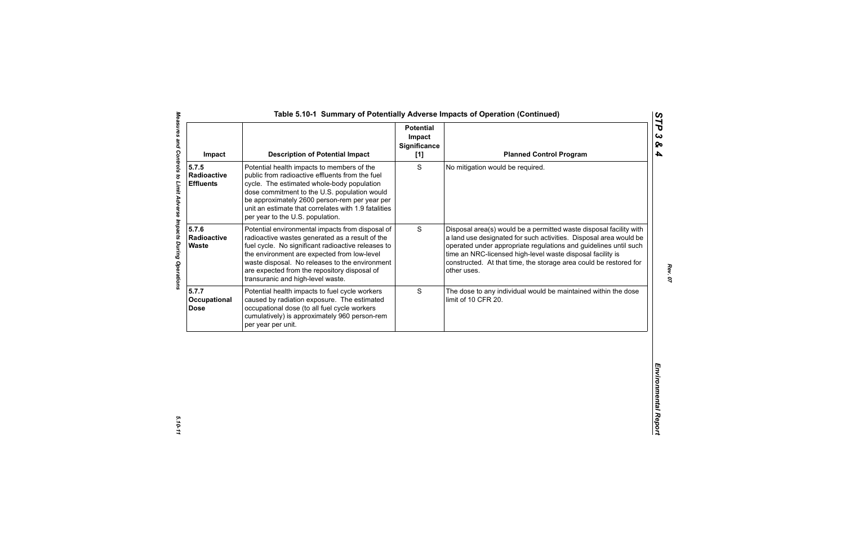| <b>Description of Potential Impact</b>                                                                                                                                                                                                                                                                                                          | <b>Potential</b><br>Impact<br><b>Significance</b><br>[1] | <b>Planned Control Program</b>                                                                                                                                                                                                                                                                                                                                |
|-------------------------------------------------------------------------------------------------------------------------------------------------------------------------------------------------------------------------------------------------------------------------------------------------------------------------------------------------|----------------------------------------------------------|---------------------------------------------------------------------------------------------------------------------------------------------------------------------------------------------------------------------------------------------------------------------------------------------------------------------------------------------------------------|
| Potential health impacts to members of the<br>public from radioactive effluents from the fuel<br>cycle. The estimated whole-body population<br>dose commitment to the U.S. population would<br>be approximately 2600 person-rem per year per<br>unit an estimate that correlates with 1.9 fatalities<br>per year to the U.S. population.        | S                                                        | No mitigation would be required.                                                                                                                                                                                                                                                                                                                              |
| Potential environmental impacts from disposal of<br>radioactive wastes generated as a result of the<br>fuel cycle. No significant radioactive releases to<br>the environment are expected from low-level<br>waste disposal. No releases to the environment<br>are expected from the repository disposal of<br>transuranic and high-level waste. | S                                                        | Disposal area(s) would be a permitted waste disposal facility with<br>a land use designated for such activities. Disposal area would be<br>operated under appropriate regulations and guidelines until such<br>time an NRC-licensed high-level waste disposal facility is<br>constructed. At that time, the storage area could be restored for<br>other uses. |
| Potential health impacts to fuel cycle workers<br>caused by radiation exposure. The estimated<br>occupational dose (to all fuel cycle workers<br>cumulatively) is approximately 960 person-rem<br>per year per unit.                                                                                                                            | S                                                        | The dose to any individual would be maintained within the dose<br>limit of 10 CFR 20.                                                                                                                                                                                                                                                                         |
|                                                                                                                                                                                                                                                                                                                                                 |                                                          |                                                                                                                                                                                                                                                                                                                                                               |
|                                                                                                                                                                                                                                                                                                                                                 |                                                          |                                                                                                                                                                                                                                                                                                                                                               |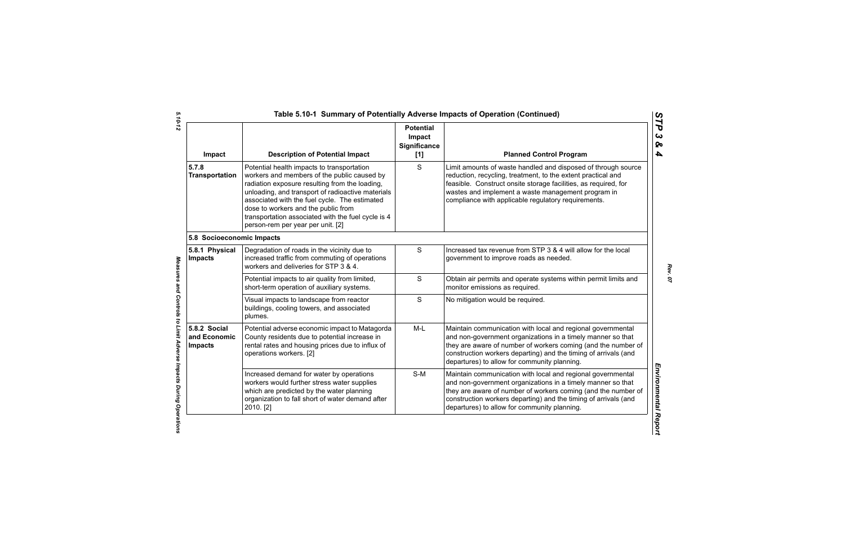| Impact                                         | <b>Description of Potential Impact</b>                                                                                                                                                                                                                                                                                                                                              | <b>Potential</b><br>Impact<br><b>Significance</b><br>[1] | <b>Planned Control Program</b>                                                                                                                                                                                                                                                                                 |
|------------------------------------------------|-------------------------------------------------------------------------------------------------------------------------------------------------------------------------------------------------------------------------------------------------------------------------------------------------------------------------------------------------------------------------------------|----------------------------------------------------------|----------------------------------------------------------------------------------------------------------------------------------------------------------------------------------------------------------------------------------------------------------------------------------------------------------------|
| 5.7.8<br><b>Transportation</b>                 | Potential health impacts to transportation<br>workers and members of the public caused by<br>radiation exposure resulting from the loading,<br>unloading, and transport of radioactive materials<br>associated with the fuel cycle. The estimated<br>dose to workers and the public from<br>transportation associated with the fuel cycle is 4<br>person-rem per year per unit. [2] | S                                                        | Limit amounts of waste handled and disposed of through source<br>reduction, recycling, treatment, to the extent practical and<br>feasible. Construct onsite storage facilities, as required, for<br>wastes and implement a waste management program in<br>compliance with applicable regulatory requirements.  |
| 5.8 Socioeconomic Impacts                      |                                                                                                                                                                                                                                                                                                                                                                                     |                                                          |                                                                                                                                                                                                                                                                                                                |
| 5.8.1 Physical<br>Impacts                      | Degradation of roads in the vicinity due to<br>increased traffic from commuting of operations<br>workers and deliveries for STP 3 & 4.                                                                                                                                                                                                                                              | S                                                        | Increased tax revenue from STP 3 & 4 will allow for the local<br>government to improve roads as needed.                                                                                                                                                                                                        |
|                                                | Potential impacts to air quality from limited,<br>short-term operation of auxiliary systems.                                                                                                                                                                                                                                                                                        | S                                                        | Obtain air permits and operate systems within permit limits and<br>monitor emissions as required.                                                                                                                                                                                                              |
|                                                | Visual impacts to landscape from reactor<br>buildings, cooling towers, and associated<br>plumes.                                                                                                                                                                                                                                                                                    | $\mathbf S$                                              | No mitigation would be required.                                                                                                                                                                                                                                                                               |
| 5.8.2 Social<br>and Economic<br><b>Impacts</b> | Potential adverse economic impact to Matagorda<br>County residents due to potential increase in<br>rental rates and housing prices due to influx of<br>operations workers. [2]                                                                                                                                                                                                      | $M-L$                                                    | Maintain communication with local and regional governmental<br>and non-government organizations in a timely manner so that<br>they are aware of number of workers coming (and the number of<br>construction workers departing) and the timing of arrivals (and<br>departures) to allow for community planning. |
|                                                | Increased demand for water by operations<br>workers would further stress water supplies<br>which are predicted by the water planning<br>organization to fall short of water demand after<br>2010. [2]                                                                                                                                                                               | $S-M$                                                    | Maintain communication with local and regional governmental<br>and non-government organizations in a timely manner so that<br>they are aware of number of workers coming (and the number of<br>construction workers departing) and the timing of arrivals (and<br>departures) to allow for community planning. |

Measures and Controls to Limit Adverse Impacts During Operations

*STP 3 & 4*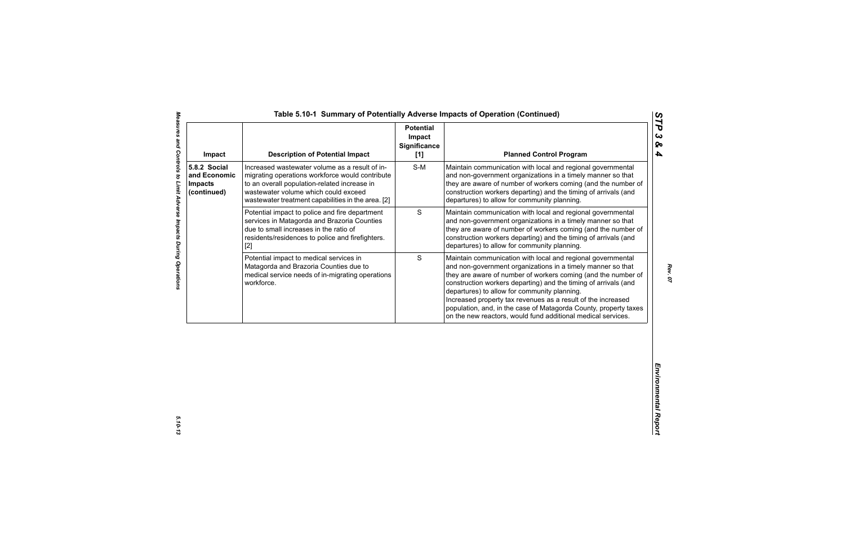| Impact                                                        | <b>Description of Potential Impact</b>                                                                                                                                                                                                          | <b>Potential</b><br>Impact<br><b>Significance</b><br>[1] | <b>Planned Control Program</b>                                                                                                                                                                                                                                                                                                                                                                                                                                                                                     |
|---------------------------------------------------------------|-------------------------------------------------------------------------------------------------------------------------------------------------------------------------------------------------------------------------------------------------|----------------------------------------------------------|--------------------------------------------------------------------------------------------------------------------------------------------------------------------------------------------------------------------------------------------------------------------------------------------------------------------------------------------------------------------------------------------------------------------------------------------------------------------------------------------------------------------|
| 5.8.2 Social<br>and Economic<br><b>Impacts</b><br>(continued) | Increased wastewater volume as a result of in-<br>migrating operations workforce would contribute<br>to an overall population-related increase in<br>wastewater volume which could exceed<br>wastewater treatment capabilities in the area. [2] | $S-M$                                                    | Maintain communication with local and regional governmental<br>and non-government organizations in a timely manner so that<br>they are aware of number of workers coming (and the number of<br>construction workers departing) and the timing of arrivals (and<br>departures) to allow for community planning.                                                                                                                                                                                                     |
|                                                               | Potential impact to police and fire department<br>services in Matagorda and Brazoria Counties<br>due to small increases in the ratio of<br>residents/residences to police and firefighters.<br>$[2]$                                            | $\mathbf S$                                              | Maintain communication with local and regional governmental<br>and non-government organizations in a timely manner so that<br>they are aware of number of workers coming (and the number of<br>construction workers departing) and the timing of arrivals (and<br>departures) to allow for community planning.                                                                                                                                                                                                     |
|                                                               | Potential impact to medical services in<br>Matagorda and Brazoria Counties due to<br>medical service needs of in-migrating operations<br>workforce.                                                                                             | S                                                        | Maintain communication with local and regional governmental<br>and non-government organizations in a timely manner so that<br>they are aware of number of workers coming (and the number of<br>construction workers departing) and the timing of arrivals (and<br>departures) to allow for community planning.<br>Increased property tax revenues as a result of the increased<br>population, and, in the case of Matagorda County, property taxes<br>on the new reactors, would fund additional medical services. |
|                                                               |                                                                                                                                                                                                                                                 |                                                          |                                                                                                                                                                                                                                                                                                                                                                                                                                                                                                                    |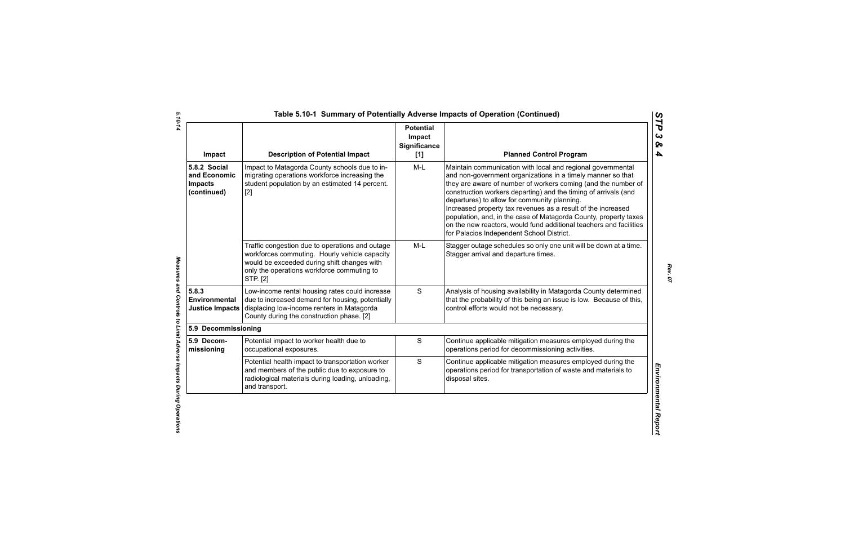| Impact                                                        | <b>Description of Potential Impact</b>                                                                                                                                                                    | <b>Potential</b><br>Impact<br><b>Significance</b><br>[1] | <b>Planned Control Program</b>                                                                                                                                                                                                                                                                                                                                                                                                                                                                                                                                        |
|---------------------------------------------------------------|-----------------------------------------------------------------------------------------------------------------------------------------------------------------------------------------------------------|----------------------------------------------------------|-----------------------------------------------------------------------------------------------------------------------------------------------------------------------------------------------------------------------------------------------------------------------------------------------------------------------------------------------------------------------------------------------------------------------------------------------------------------------------------------------------------------------------------------------------------------------|
| 5.8.2 Social<br>and Economic<br><b>Impacts</b><br>(continued) | Impact to Matagorda County schools due to in-<br>migrating operations workforce increasing the<br>student population by an estimated 14 percent.<br>$[2]$                                                 | $M-L$                                                    | Maintain communication with local and regional governmental<br>and non-government organizations in a timely manner so that<br>they are aware of number of workers coming (and the number of<br>construction workers departing) and the timing of arrivals (and<br>departures) to allow for community planning.<br>Increased property tax revenues as a result of the increased<br>population, and, in the case of Matagorda County, property taxes<br>on the new reactors, would fund additional teachers and facilities<br>for Palacios Independent School District. |
|                                                               | Traffic congestion due to operations and outage<br>workforces commuting. Hourly vehicle capacity<br>would be exceeded during shift changes with<br>only the operations workforce commuting to<br>STP. [2] | $M-L$                                                    | Stagger outage schedules so only one unit will be down at a time.<br>Stagger arrival and departure times.                                                                                                                                                                                                                                                                                                                                                                                                                                                             |
| 5.8.3<br>Environmental<br><b>Justice Impacts</b>              | Low-income rental housing rates could increase<br>due to increased demand for housing, potentially<br>displacing low-income renters in Matagorda<br>County during the construction phase. [2]             | S                                                        | Analysis of housing availability in Matagorda County determined<br>that the probability of this being an issue is low. Because of this,<br>control efforts would not be necessary.                                                                                                                                                                                                                                                                                                                                                                                    |
| 5.9 Decommissioning                                           |                                                                                                                                                                                                           |                                                          |                                                                                                                                                                                                                                                                                                                                                                                                                                                                                                                                                                       |
| 5.9 Decom-<br>missioning                                      | Potential impact to worker health due to<br>occupational exposures.                                                                                                                                       | $\mathbf S$                                              | Continue applicable mitigation measures employed during the<br>operations period for decommissioning activities.                                                                                                                                                                                                                                                                                                                                                                                                                                                      |
|                                                               | Potential health impact to transportation worker<br>and members of the public due to exposure to<br>radiological materials during loading, unloading,<br>and transport.                                   | $\mathbf S$                                              | Continue applicable mitigation measures employed during the<br>operations period for transportation of waste and materials to<br>disposal sites.                                                                                                                                                                                                                                                                                                                                                                                                                      |

5.10-14 *5.10-14 Measures and Controls to Limit Adverse Impacts During Operations* 

Measures and Controls to Limit Adverse Impacts During Operations